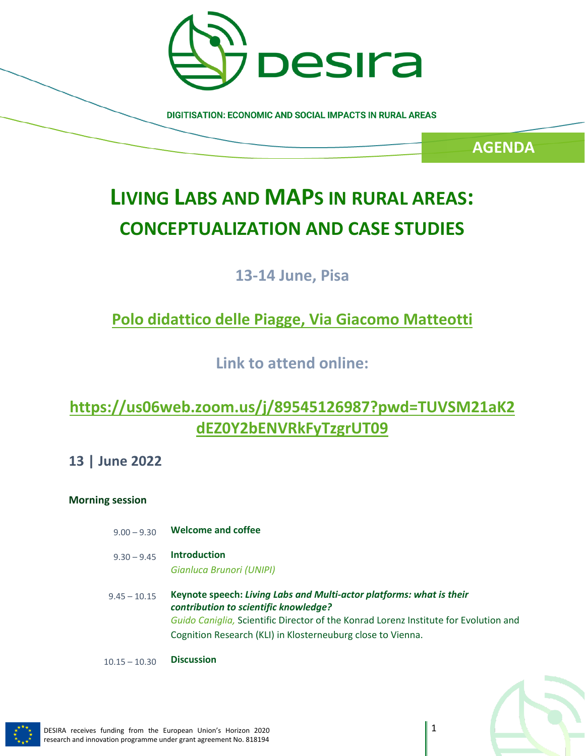

**DIGITISATION: ECONOMIC AND SOCIAL IMPACTS IN RURAL AREAS** 

**AGENDA**

# **LIVING LABS AND MAPS IN RURAL AREAS: CONCEPTUALIZATION AND CASE STUDIES**

## **13-14 June, Pisa**

## **[Polo didattico delle Piagge, Via Giacomo Matteotti](https://www.unipi.it/index.php/unipieventi/Luogo/201-polo-didattico-delle-piagge)**

**Link to attend online:**

## **[https://us06web.zoom.us/j/89545126987?pwd=TUVSM21aK2](https://us06web.zoom.us/j/89545126987?pwd=TUVSM21aK2dEZ0Y2bENVRkFyTzgrUT09) [dEZ0Y2bENVRkFyTzgrUT09](https://us06web.zoom.us/j/89545126987?pwd=TUVSM21aK2dEZ0Y2bENVRkFyTzgrUT09)**

**13 | June 2022**

## **Morning session**

9.00 – 9.30 **Welcome and coffee** 9.30 – 9.45 **Introduction** *Gianluca Brunori (UNIPI)* 9.45 – 10.15 **Keynote speech:** *Living Labs and Multi-actor platforms: what is their contribution to scientific knowledge? Guido Caniglia,* Scientific Director of the Konrad Lorenz Institute for Evolution and Cognition Research (KLI) in Klosterneuburg close to Vienna. 10.15 – 10.30 **Discussion**

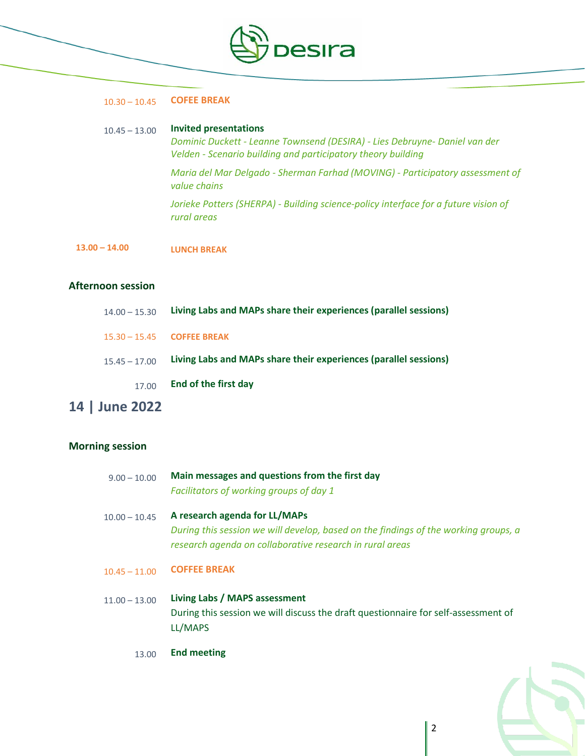

#### 10.30 – 10.45 **COFEE BREAK**

### 10.45 – 13.00 **Invited presentations**

*Dominic Duckett - Leanne Townsend (DESIRA) - Lies Debruyne- Daniel van der Velden - Scenario building and participatory theory building*

*Maria del Mar Delgado - Sherman Farhad (MOVING) - Participatory assessment of value chains*

*Jorieke Potters (SHERPA) - Building science-policy interface for a future vision of rural areas*

**13.00 – 14.00 LUNCH BREAK**

## **Afternoon session**

| $14.00 - 15.30$ | Living Labs and MAPs share their experiences (parallel sessions) |
|-----------------|------------------------------------------------------------------|
|                 | $15.30 - 15.45$ COFFEE BREAK                                     |
| $15.45 - 17.00$ | Living Labs and MAPs share their experiences (parallel sessions) |
| 17.00           | End of the first day                                             |

## **14 | June 2022**

## **Morning session**

| $9.00 - 10.00$  | Main messages and questions from the first day<br>Facilitators of working groups of day 1                                                                                        |
|-----------------|----------------------------------------------------------------------------------------------------------------------------------------------------------------------------------|
| $10.00 - 10.45$ | A research agenda for LL/MAPs<br>During this session we will develop, based on the findings of the working groups, a<br>research agenda on collaborative research in rural areas |
| $10.45 - 11.00$ | <b>COFFEE BREAK</b>                                                                                                                                                              |
| $11.00 - 13.00$ | Living Labs / MAPS assessment<br>During this session we will discuss the draft questionnaire for self-assessment of<br>LL/MAPS                                                   |

13.00 **End meeting**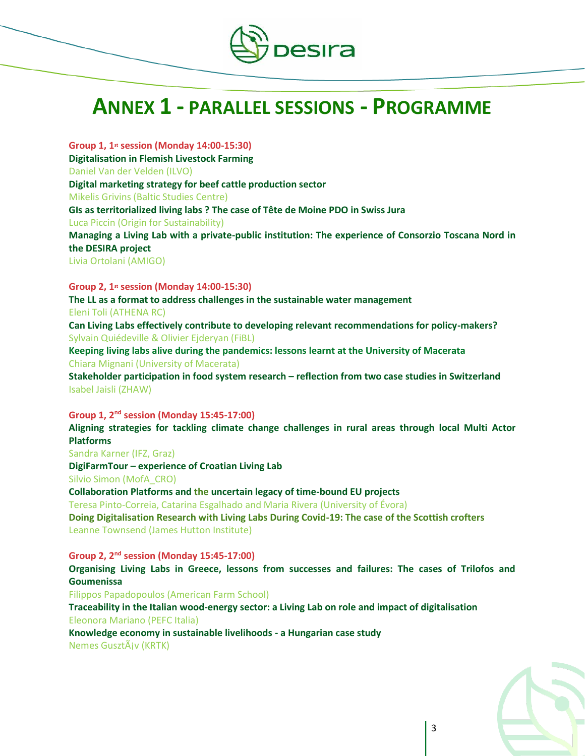

# **ANNEX 1 - PARALLEL SESSIONS - PROGRAMME**

**Group 1, 1st session (Monday 14:00-15:30) Digitalisation in Flemish Livestock Farming** Daniel Van der Velden (ILVO) **Digital marketing strategy for beef cattle production sector** Mikelis Grivins (Baltic Studies Centre) **GIs as territorialized living labs ? The case of Tête de Moine PDO in Swiss Jura** Luca Piccin (Origin for Sustainability) **Managing a Living Lab with a private-public institution: The experience of Consorzio Toscana Nord in the DESIRA project**

Livia Ortolani (AMIGO)

**Group 2, 1st session (Monday 14:00-15:30)**

**The LL as a format to address challenges in the sustainable water management** Eleni Toli (ATHENA RC)

**Can Living Labs effectively contribute to developing relevant recommendations for policy-makers?** Sylvain Quiédeville & Olivier Ejderyan (FiBL)

**Keeping living labs alive during the pandemics: lessons learnt at the University of Macerata** Chiara Mignani (University of Macerata)

**Stakeholder participation in food system research – reflection from two case studies in Switzerland** Isabel Jaisli (ZHAW)

**Group 1, 2nd session (Monday 15:45-17:00)**

**Aligning strategies for tackling climate change challenges in rural areas through local Multi Actor Platforms**

Sandra Karner (IFZ, Graz)

**DigiFarmTour – experience of Croatian Living Lab**

Silvio Simon (MofA\_CRO)

**Collaboration Platforms and the uncertain legacy of time-bound EU projects**

Teresa Pinto-Correia, Catarina Esgalhado and Maria Rivera (University of Évora)

**Doing Digitalisation Research with Living Labs During Covid-19: The case of the Scottish crofters** Leanne Townsend (James Hutton Institute)

**Group 2, 2nd session (Monday 15:45-17:00)**

**Organising Living Labs in Greece, lessons from successes and failures: The cases of Trilofos and Goumenissa**

Filippos Papadopoulos (American Farm School)

**Traceability in the Italian wood-energy sector: a Living Lab on role and impact of digitalisation** Eleonora Mariano (PEFC Italia)

**Knowledge economy in sustainable livelihoods - a Hungarian case study** Nemes GusztÃiv (KRTK)

3